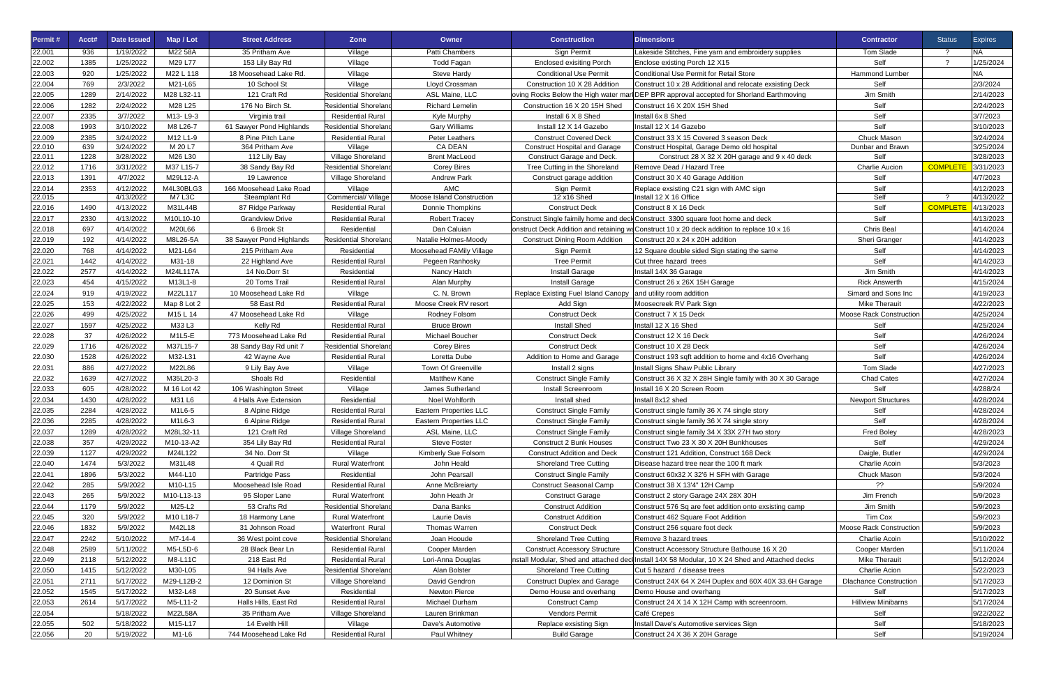| Permit#          | Acct#      | Date Issued            | Map / Lot                       | <b>Street Address</b>              | <b>Zone</b>                                          | Owner                              | <b>Construction</b>                                           | <b>Dimensions</b>                                                                              | <b>Contractor</b>                           | <b>Status</b>   | <b>Expires</b>         |
|------------------|------------|------------------------|---------------------------------|------------------------------------|------------------------------------------------------|------------------------------------|---------------------------------------------------------------|------------------------------------------------------------------------------------------------|---------------------------------------------|-----------------|------------------------|
| 22.001           | 936        | 1/19/2022              | M22 58A                         | 35 Pritham Ave                     | Village                                              | Patti Chambers                     | Sign Permit                                                   | Lakeside Stitches, Fine yarn and embroidery supplies                                           | Tom Slade                                   |                 | NA                     |
| 22.002           | 1385       | 1/25/2022              | M29 L77                         | 153 Lily Bay Rd                    | Village                                              | <b>Todd Fagan</b>                  | <b>Enclosed exisiting Porch</b>                               | Enclose existing Porch 12 X15                                                                  | Self                                        | $\Omega$        | 1/25/2024              |
| 22.003           | 920        | 1/25/2022              | M22 L 118                       | 18 Moosehead Lake Rd.              | Village                                              | <b>Steve Hardy</b>                 | <b>Conditional Use Permit</b>                                 | Conditional Use Permit for Retail Store                                                        | <b>Hammond Lumber</b>                       |                 | <b>NA</b>              |
| 22.004           | 769        | 2/3/2022               | M21-L65                         | 10 School St                       | Village                                              | Lloyd Crossman                     | Construction 10 X 28 Addition                                 | Construct 10 x 28 Additional and relocate exsisting Deck                                       | Self                                        |                 | 2/3/2024               |
| 22.005           | 1289       | 2/14/2022              | M28 L32-11                      | 121 Craft Rd                       | <b>Residential Shoreland</b>                         | ASL Maine, LLC                     |                                                               | oving Rocks Below the High water mari DEP BPR approval accepted for Shorland Earthmoving       | Jim Smith                                   |                 | 2/14/2023              |
| 22.006           | 1282       | 2/24/2022              | M28 L25                         | 176 No Birch St.                   | <b>Residential Shoreland</b>                         | <b>Richard Lemelin</b>             | Construction 16 X 20 15H Shed                                 | Construct 16 X 20X 15H Shed                                                                    | Self                                        |                 | 2/24/2023              |
| 22.007           | 2335       | 3/7/2022               | M13-L9-3                        | Virginia trail                     | <b>Residential Rural</b>                             | Kyle Murphy                        | Install 6 X 8 Shed                                            | Install 6x 8 Shed                                                                              | Self                                        |                 | 3/7/2023               |
| 22.008           | 1993       | 3/10/2022              | M8 L26-7                        | 61 Sawyer Pond Highlands           | <b>Residential Shoreland</b>                         | <b>Gary Williams</b>               | Install 12 X 14 Gazebo                                        | Install 12 X 14 Gazebo                                                                         | Self                                        |                 | 3/10/2023              |
| 22.009           | 2385       | 3/24/2022              | M12 L1-9                        | 8 Pine Pitch Lane                  | <b>Residential Rural</b>                             | <b>Peter Leathers</b>              | <b>Construct Covered Deck</b>                                 | Construct 33 X 15 Covered 3 season Deck                                                        | Chuck Mason                                 |                 | 3/24/2024              |
| 22.010           | 639        | 3/24/2022              | M 20 L7                         | 364 Pritham Ave                    | Village                                              | CA DEAN                            | <b>Construct Hospital and Garage</b>                          | Construct Hospital, Garage Demo old hospital                                                   | Dunbar and Brawn                            |                 | 3/25/2024              |
| 22.011           | 1228       | 3/28/2022              | M26 L30                         | 112 Lily Bay                       | Village Shoreland                                    | <b>Brent MacLeod</b>               | Construct Garage and Deck.                                    | Construct 28 X 32 X 20H garage and 9 x 40 deck                                                 | Self                                        |                 | 3/28/2023              |
| 22.012           | 1716       | 3/31/2022              | M37 L15-7                       | 38 Sandy Bay Rd                    | <b>Residential Shoreland</b>                         | <b>Corey Bires</b>                 | Tree Cutting in the Shoreland                                 | Remove Dead / Hazard Tree                                                                      | <b>Charlie Aucion</b>                       | <b>COMPLETE</b> | 3/31/2023              |
| 22.013           | 1391       | 4/7/2022               | M29L12-A                        | 19 Lawrence                        | Village Shoreland                                    | <b>Andrew Park</b>                 | Construct garage addition                                     | Construct 30 X 40 Garage Addition                                                              | Self                                        |                 | 4/7/2023               |
| 22.014           | 2353       | 4/12/2022              | M4L30BLG3                       | 166 Moosehead Lake Road            | Village                                              | <b>AMC</b>                         | Sign Permit                                                   | Replace exsisting C21 sign with AMC sign                                                       | Self                                        | $\gamma$        | 4/12/2023              |
| 22.015           |            | 4/13/2022              | M7 L3C                          | Steamplant Rd                      | Commercial/Village                                   | Moose Island Construction          | 12 x16 Shed                                                   | Install 12 X 16 Office                                                                         | Self                                        |                 | 4/13/2022              |
| 22.016           | 1490       | 4/13/2022              | M31L44B                         | 87 Ridge Parkway                   | <b>Residential Rural</b>                             | <b>Donnie Thompkins</b>            | <b>Construct Deck</b>                                         | Construct 8 X 16 Deck                                                                          | Self                                        | <b>COMPLETE</b> | 4/13/2023              |
| 22.017           | 2330       | 4/13/2022              | M10L10-10                       | <b>Grandview Drive</b>             | <b>Residential Rural</b>                             | <b>Robert Tracey</b>               |                                                               | Construct Single faimily home and deck Construct 3300 square foot home and deck                | Self                                        |                 | 4/13/2023              |
| 22.018           | 697        | 4/14/2022              | M20L66                          | 6 Brook St                         | Residential                                          | Dan Caluian                        |                                                               | onstruct Deck Addition and retaining wa Construct 10 x 20 deck addition to replace 10 x 16     | <b>Chris Beal</b>                           |                 | 4/14/2024              |
| 22.019           | 192        | 4/14/2022              | M8L26-5A                        | 38 Sawyer Pond Highlands           | <b>Residential Shoreland</b>                         | Natalie Holmes-Moody               | <b>Construct Dining Room Addition</b>                         | Construct 20 x 24 x 20H addition                                                               | Sheri Granger                               |                 | 4/14/2023              |
| 22.020           | 768        | 4/14/2022              | M21-L64                         | 215 Pritham Ave                    | Residential                                          | Moosehead FAMily Village           | Sign Permit                                                   | 12 Square double sided Sign stating the same                                                   | Self                                        |                 | 4/14/2023              |
| 22.021           | 1442       | 4/14/2022              | M31-18                          | 22 Highland Ave                    | <b>Residential Rural</b>                             | Pegeen Ranhosky                    | <b>Tree Permit</b>                                            | Cut three hazard trees                                                                         | Self                                        |                 | 4/14/2023              |
| 22.022           | 2577       | 4/14/2022              | M24L117A                        | 14 No.Dorr St                      | Residential                                          | Nancy Hatch                        | <b>Install Garage</b>                                         | Install 14X 36 Garage                                                                          | Jim Smith                                   |                 | 4/14/2023              |
| 22.023           | 454        | 4/15/2022              | M13L1-8                         | 20 Toms Trail                      | <b>Residential Rural</b>                             | Alan Murphy                        | <b>Install Garage</b>                                         | Construct 26 x 26X 15H Garage                                                                  | <b>Rick Answerth</b>                        |                 | 4/15/2024              |
| 22.024           | 919<br>153 | 4/19/2022<br>4/22/2022 | M22L117                         | 10 Moosehead Lake Rd<br>58 East Rd | Village<br><b>Residential Rural</b>                  | C. N. Brown                        | Replace Existing Fuel Island Canopy and utility room addition |                                                                                                | Simard and Sons Inc<br><b>Mike Therauit</b> |                 | 4/19/2023              |
| 22.025           | 499        |                        | Map 8 Lot 2                     |                                    |                                                      | Moose Creek RV resort              | Add Sign                                                      | Moosecreek RV Park Sign                                                                        |                                             |                 | 4/22/2023              |
| 22.026           |            | 4/25/2022              | M <sub>15</sub> L <sub>14</sub> | 47 Moosehead Lake Rd               | Village                                              | Rodney Folsom                      | <b>Construct Deck</b>                                         | Construct 7 X 15 Deck                                                                          | Moose Rack Construction                     |                 | 4/25/2024              |
| 22.027           | 1597       | 4/25/2022              | M33 L3                          | Kelly Rd                           | <b>Residential Rural</b><br><b>Residential Rural</b> | <b>Bruce Brown</b>                 | <b>Install Shed</b>                                           | Install 12 X 16 Shed                                                                           | Self                                        |                 | 4/25/2024              |
| 22.028           | 37<br>1716 | 4/26/2022<br>4/26/2022 | M1L5-E<br>M37L15-7              | 773 Moosehead Lake Rd              | <b>Residential Shoreland</b>                         | Michael Boucher                    | <b>Construct Deck</b>                                         | Construct 12 X 16 Deck<br>Construct 10 X 28 Deck                                               | Self<br>Self                                |                 | 4/26/2024              |
| 22.029           | 1528       | 4/26/2022              | M32-L31                         | 38 Sandy Bay Rd unit 7             | <b>Residential Rural</b>                             | <b>Corey Bires</b><br>Loretta Dube | <b>Construct Deck</b>                                         |                                                                                                | Self                                        |                 | 4/26/2024<br>4/26/2024 |
| 22.030<br>22.031 | 886        | 4/27/2022              | M22L86                          | 42 Wayne Ave<br>9 Lily Bay Ave     | Village                                              | Town Of Greenville                 | Addition to Home and Garage<br>Install 2 signs                | Construct 193 sqft addition to home and 4x16 Overhang<br>Install Signs Shaw Public Library     | Tom Slade                                   |                 | 4/27/2023              |
| 22.032           | 1639       | 4/27/2022              | M35L20-3                        | Shoals Rd                          | Residential                                          | <b>Matthew Kane</b>                | <b>Construct Single Family</b>                                | Construct 36 X 32 X 28H Single family with 30 X 30 Garage                                      | <b>Chad Cates</b>                           |                 | 4/27/2024              |
| 22.033           | 605        | 4/28/2022              | M 16 Lot 42                     | 106 Washington Street              | Village                                              | James Sutherland                   | Install Screenroom                                            | Install 16 X 20 Screen Room                                                                    | Self                                        |                 | 4/288/24               |
| 22.034           | 1430       | 4/28/2022              | M31 L6                          | 4 Halls Ave Extension              | Residential                                          | Noel Wohlforth                     | Install shed                                                  | Install 8x12 shed                                                                              |                                             |                 | 4/28/2024              |
| 22.035           | 2284       | 4/28/2022              | M1L6-5                          | 8 Alpine Ridge                     | <b>Residential Rural</b>                             | <b>Eastern Properties LLC</b>      | <b>Construct Single Family</b>                                | Construct single family 36 X 74 single story                                                   | <b>Newport Structures</b><br>Self           |                 | 4/28/2024              |
| 22.036           | 2285       | 4/28/2022              | M1L6-3                          | 6 Alpine Ridge                     | <b>Residential Rural</b>                             | Eastern Properties LLC             | <b>Construct Single Family</b>                                | Construct single family 36 X 74 single story                                                   | Self                                        |                 | 4/28/2024              |
| 22.037           | 1289       | 4/28/2022              | M28L32-11                       | 121 Craft Rd                       | Village Shoreland                                    | ASL Maine, LLC                     | <b>Construct Single Family</b>                                | Construct single family 34 X 33X 27H two story                                                 | <b>Fred Boley</b>                           |                 | 4/28/2023              |
| 22.038           | 357        | 4/29/2022              | M10-13-A2                       | 354 Lily Bay Rd                    | <b>Residential Rural</b>                             | <b>Steve Foster</b>                | <b>Construct 2 Bunk Houses</b>                                | Construct Two 23 X 30 X 20H Bunkhouses                                                         | Self                                        |                 | 4/29/2024              |
| 22.039           | 1127       | 4/29/2022              | M24L122                         | 34 No. Dorr St                     | Village                                              | Kimberly Sue Folsom                | <b>Construct Addition and Deck</b>                            | Construct 121 Addition, Construct 168 Deck                                                     | Daigle, Butler                              |                 | 4/29/2024              |
| 22.040           | 1474       | 5/3/2022               | M31L48                          | 4 Quail Rd                         | <b>Rural Waterfront</b>                              | John Heald                         | <b>Shoreland Tree Cutting</b>                                 | Disease hazard tree near the 100 ft mark                                                       | Charlie Acoin                               |                 | 5/3/2023               |
| 22.041           | 1896       | 5/3/2022               | M44-L10                         | Partridge Pass                     | Residential                                          | John Pearsall                      | <b>Construct Single Family</b>                                | Construct 60x32 X 32'6 H SFH with Garage                                                       | Chuck Mason                                 |                 | 5/3/2024               |
| 22.042           | 285        | 5/9/2022               | M10-L15                         | Moosehead Isle Road                | <b>Residential Rural</b>                             | Anne McBreiarty                    | <b>Construct Seasonal Camp</b>                                | Construct 38 X 13'4" 12H Camp                                                                  | ??                                          |                 | 5/9/2024               |
| 22.043           | 265        | 5/9/2022               | M10-L13-13                      | 95 Sloper Lane                     | <b>Rural Waterfront</b>                              | John Heath Jr                      | <b>Construct Garage</b>                                       | Construct 2 story Garage 24X 28X 30H                                                           | Jim French                                  |                 | 5/9/2023               |
| 22.044           | 1179       | 5/9/2022               | M25-L2                          | 53 Crafts Rd                       | <b>Residential Shoreland</b>                         | Dana Banks                         | <b>Construct Addition</b>                                     | Construct 576 Sq are feet addition onto exsisting camp                                         | Jim Smith                                   |                 | 5/9/2023               |
| 22.045           | 320        | 5/9/2022               | M10 L18-7                       | 18 Harmony Lane                    | <b>Rural Waterfront</b>                              | Laurie Davis                       | <b>Construct Addition</b>                                     | Construct 462 Square Foot Addition                                                             | Tim Cox                                     |                 | 5/9/2023               |
| 22.046           | 1832       | 5/9/2022               | M42L18                          | 31 Johnson Road                    | <b>Waterfront Rural</b>                              | <b>Thomas Warren</b>               | <b>Construct Deck</b>                                         | Construct 256 square foot deck                                                                 | Moose Rack Construction                     |                 | 5/9/2023               |
| 22.047           | 2242       | 5/10/2022              | M7-14-4                         | 36 West point cove                 | <b>Residential Shoreland</b>                         | Joan Hooude                        | <b>Shoreland Tree Cutting</b>                                 | Remove 3 hazard trees                                                                          | Charlie Acoin                               |                 | 5/10/2022              |
| 22.048           | 2589       | 5/11/2022              | M5-L5D-6                        | 28 Black Bear Ln                   | <b>Residential Rural</b>                             | Cooper Marden                      | <b>Construct Accessory Structure</b>                          | Construct Accessory Structure Bathouse 16 X 20                                                 | Cooper Marden                               |                 | 5/11/2024              |
| 22.049           | 2118       | 5/12/2022              | M8-L11C                         | 218 East Rd                        | <b>Residential Rural</b>                             | Lori-Anna Douglas                  |                                                               | nstall Modular, Shed and attached decl Install 14X 58 Modular, 10 X 24 Shed and Attached decks | <b>Mike Therauit</b>                        |                 | 5/12/2024              |
| 22.050           | 1415       | 5/12/2022              | M30-L05                         | 94 Halls Ave                       | <b>Residential Shoreland</b>                         | Alan Bolster                       | <b>Shoreland Tree Cutting</b>                                 | Cut 5 hazard / disease trees                                                                   | Charlie Acion                               |                 | 5/22/2023              |
| 22.051           | 2711       | 5/17/2022              | M29-L12B-2                      | 12 Dominion St                     | Village Shoreland                                    | David Gendron                      | <b>Construct Duplex and Garage</b>                            | Construct 24X 64 X 24H Duplex and 60X 40X 33.6H Garage                                         | <b>Dlachance Construction</b>               |                 | 5/17/2023              |
| 22.052           | 1545       | 5/17/2022              | M32-L48                         | 20 Sunset Ave                      | Residential                                          | Newton Pierce                      | Demo House and overhang                                       | Demo House and overhang                                                                        | Self                                        |                 | 5/17/2023              |
| 22.053           | 2614       | 5/17/2022              | M5-L11-2                        | Halls Hills, East Rd               | <b>Residential Rural</b>                             | Michael Durham                     | <b>Construct Camp</b>                                         | Construct 24 X 14 X 12H Camp with screenroom.                                                  | <b>Hillview Minibarns</b>                   |                 | 5/17/2024              |
| 22.054           |            | 5/18/2022              | M22L58A                         | 35 Pritham Ave                     | Village Shoreland                                    | Lauren Brinkman                    | <b>Vendors Permit</b>                                         | Café Crepes                                                                                    | Self                                        |                 | 9/22/2022              |
| 22.055           | 502        | 5/18/2022              | M15-L17                         | 14 Evelth Hill                     | Village                                              | Dave's Automotive                  | Replace exsisting Sign                                        | Install Dave's Automotive services Sign                                                        | Self                                        |                 | 5/18/2023              |
| 22.056           | 20         | 5/19/2022              | M1-L6                           | 744 Moosehead Lake Rd              | <b>Residential Rural</b>                             | Paul Whitney                       | <b>Build Garage</b>                                           | Construct 24 X 36 X 20H Garage                                                                 | Self                                        |                 | 5/19/2024              |
|                  |            |                        |                                 |                                    |                                                      |                                    |                                                               |                                                                                                |                                             |                 |                        |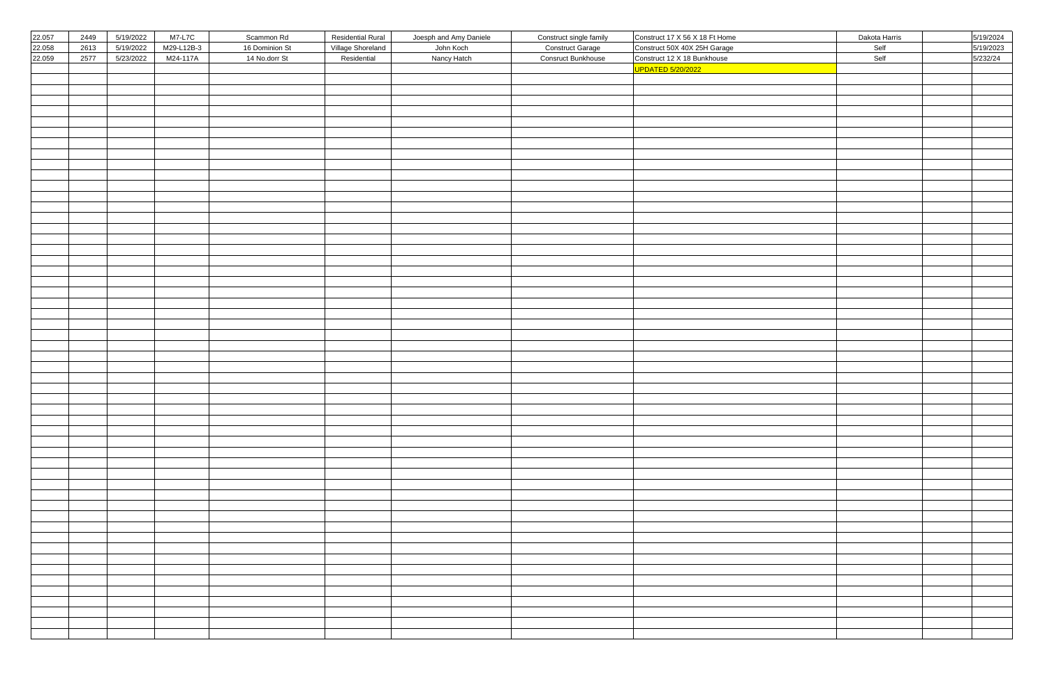| 22.057 | 2449 | 5/19/2022 | M7-L7C     | Scammon Rd     | <b>Residential Rural</b> | Joesph and Amy Daniele | Construct single family   | Construct 17 X 56 X 18 Ft Home | Dakota Harris | 5/19/2024 |
|--------|------|-----------|------------|----------------|--------------------------|------------------------|---------------------------|--------------------------------|---------------|-----------|
|        |      |           |            |                |                          |                        |                           |                                |               |           |
| 22.058 | 2613 | 5/19/2022 | M29-L12B-3 | 16 Dominion St | Village Shoreland        | John Koch              | <b>Construct Garage</b>   | Construct 50X 40X 25H Garage   | Self          | 5/19/2023 |
| 22.059 | 2577 | 5/23/2022 | M24-117A   | 14 No.dorr St  | Residential              | Nancy Hatch            | <b>Consruct Bunkhouse</b> | Construct 12 X 18 Bunkhouse    | Self          | 5/232/24  |
|        |      |           |            |                |                          |                        |                           | <b>UPDATED 5/20/2022</b>       |               |           |
|        |      |           |            |                |                          |                        |                           |                                |               |           |
|        |      |           |            |                |                          |                        |                           |                                |               |           |
|        |      |           |            |                |                          |                        |                           |                                |               |           |
|        |      |           |            |                |                          |                        |                           |                                |               |           |
|        |      |           |            |                |                          |                        |                           |                                |               |           |
|        |      |           |            |                |                          |                        |                           |                                |               |           |
|        |      |           |            |                |                          |                        |                           |                                |               |           |
|        |      |           |            |                |                          |                        |                           |                                |               |           |
|        |      |           |            |                |                          |                        |                           |                                |               |           |
|        |      |           |            |                |                          |                        |                           |                                |               |           |
|        |      |           |            |                |                          |                        |                           |                                |               |           |
|        |      |           |            |                |                          |                        |                           |                                |               |           |
|        |      |           |            |                |                          |                        |                           |                                |               |           |
|        |      |           |            |                |                          |                        |                           |                                |               |           |
|        |      |           |            |                |                          |                        |                           |                                |               |           |
|        |      |           |            |                |                          |                        |                           |                                |               |           |
|        |      |           |            |                |                          |                        |                           |                                |               |           |
|        |      |           |            |                |                          |                        |                           |                                |               |           |
|        |      |           |            |                |                          |                        |                           |                                |               |           |
|        |      |           |            |                |                          |                        |                           |                                |               |           |
|        |      |           |            |                |                          |                        |                           |                                |               |           |
|        |      |           |            |                |                          |                        |                           |                                |               |           |
|        |      |           |            |                |                          |                        |                           |                                |               |           |
|        |      |           |            |                |                          |                        |                           |                                |               |           |
|        |      |           |            |                |                          |                        |                           |                                |               |           |
|        |      |           |            |                |                          |                        |                           |                                |               |           |
|        |      |           |            |                |                          |                        |                           |                                |               |           |
|        |      |           |            |                |                          |                        |                           |                                |               |           |
|        |      |           |            |                |                          |                        |                           |                                |               |           |
|        |      |           |            |                |                          |                        |                           |                                |               |           |
|        |      |           |            |                |                          |                        |                           |                                |               |           |
|        |      |           |            |                |                          |                        |                           |                                |               |           |
|        |      |           |            |                |                          |                        |                           |                                |               |           |
|        |      |           |            |                |                          |                        |                           |                                |               |           |
|        |      |           |            |                |                          |                        |                           |                                |               |           |
|        |      |           |            |                |                          |                        |                           |                                |               |           |
|        |      |           |            |                |                          |                        |                           |                                |               |           |
|        |      |           |            |                |                          |                        |                           |                                |               |           |
|        |      |           |            |                |                          |                        |                           |                                |               |           |
|        |      |           |            |                |                          |                        |                           |                                |               |           |
|        |      |           |            |                |                          |                        |                           |                                |               |           |
|        |      |           |            |                |                          |                        |                           |                                |               |           |
|        |      |           |            |                |                          |                        |                           |                                |               |           |
|        |      |           |            |                |                          |                        |                           |                                |               |           |
|        |      |           |            |                |                          |                        |                           |                                |               |           |
|        |      |           |            |                |                          |                        |                           |                                |               |           |
|        |      |           |            |                |                          |                        |                           |                                |               |           |
|        |      |           |            |                |                          |                        |                           |                                |               |           |
|        |      |           |            |                |                          |                        |                           |                                |               |           |
|        |      |           |            |                |                          |                        |                           |                                |               |           |
|        |      |           |            |                |                          |                        |                           |                                |               |           |
|        |      |           |            |                |                          |                        |                           |                                |               |           |
|        |      |           |            |                |                          |                        |                           |                                |               |           |
|        |      |           |            |                |                          |                        |                           |                                |               |           |
|        |      |           |            |                |                          |                        |                           |                                |               |           |
|        |      |           |            |                |                          |                        |                           |                                |               |           |
|        |      |           |            |                |                          |                        |                           |                                |               |           |
|        |      |           |            |                |                          |                        |                           |                                |               |           |
|        |      |           |            |                |                          |                        |                           |                                |               |           |
|        |      |           |            |                |                          |                        |                           |                                |               |           |
|        |      |           |            |                |                          |                        |                           |                                |               |           |
|        |      |           |            |                |                          |                        |                           |                                |               |           |
|        |      |           |            |                |                          |                        |                           |                                |               |           |
|        |      |           |            |                |                          |                        |                           |                                |               |           |